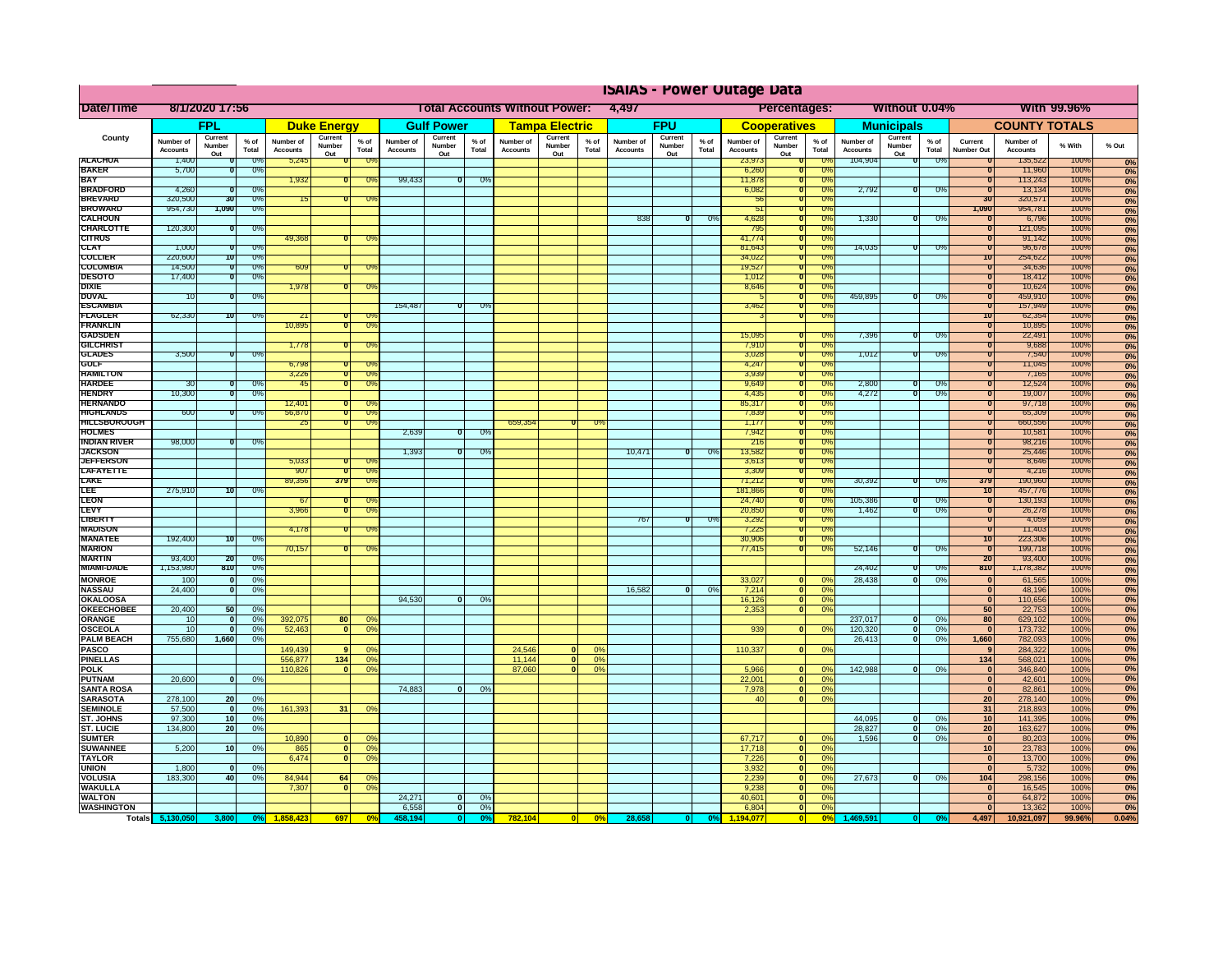|                                      | <b>ISAIAS - Power Outage Data</b> |                                 |                      |                              |                          |                                         |                                                               |                          |                 |                              |                          |                                     |                              |                          |               |                                   |                                         |                                     |                              |                          |                 |                              |                              |              |                   |
|--------------------------------------|-----------------------------------|---------------------------------|----------------------|------------------------------|--------------------------|-----------------------------------------|---------------------------------------------------------------|--------------------------|-----------------|------------------------------|--------------------------|-------------------------------------|------------------------------|--------------------------|---------------|-----------------------------------|-----------------------------------------|-------------------------------------|------------------------------|--------------------------|-----------------|------------------------------|------------------------------|--------------|-------------------|
| Date/Time                            | 8/1/2020 17:56                    |                                 |                      |                              |                          |                                         | 4,497<br><b>Total Accounts Without Power:</b><br>Percentages: |                          |                 |                              |                          | Without 0.04%<br><b>With 99.96%</b> |                              |                          |               |                                   |                                         |                                     |                              |                          |                 |                              |                              |              |                   |
|                                      |                                   | <b>FPL</b>                      |                      |                              | <b>Duke Energy</b>       |                                         |                                                               | <b>Gulf Power</b>        |                 |                              | <b>Tampa Electric</b>    |                                     |                              | <b>FPU</b>               |               |                                   | <b>Cooperatives</b>                     |                                     |                              | <b>Municipals</b>        |                 |                              | <b>COUNTY TOTALS</b>         |              |                   |
| County                               | Number of<br><b>Accounts</b>      | Current<br>Number<br>Out        | $%$ of<br>Total      | Number of<br><b>Accounts</b> | Current<br>Number<br>Out | $%$ of<br>Total                         | Number of<br><b>Accounts</b>                                  | Current<br>Number<br>Out | $%$ of<br>Total | Number of<br><b>Accounts</b> | Current<br>Number<br>Out | % of<br>Total                       | Number of<br><b>Accounts</b> | Current<br>Number<br>Out | % of<br>Total | Number of<br><b>Accounts</b>      | Current<br>Number<br>Out                | $%$ of<br>Total                     | Number of<br><b>Accounts</b> | Current<br>Number<br>Out | $%$ of<br>Total | Current<br>Number Ou         | Number of<br><b>Accounts</b> | % With       | % Out             |
| <b>ALACHUA</b><br><b>BAKER</b>       | 1,400<br>5,700                    |                                 | -0%<br>0%            | 5,245                        |                          |                                         |                                                               |                          |                 |                              |                          |                                     |                              |                          |               | 23,973<br>6,260                   |                                         | -Os<br><b>O</b> <sup>2</sup>        | 104,904                      | ิง                       | $0\%$           |                              | 135,522<br>11,960            | 100%<br>100% | 0%                |
| <b>RAY</b>                           |                                   |                                 |                      | 1,932                        |                          | O°                                      | 99,433                                                        |                          | 0%              |                              |                          |                                     |                              |                          |               | 11,878                            |                                         | 0%                                  |                              |                          |                 |                              | 113,243                      | 100%         | 0%<br>0%          |
| <b>BRADFORD</b>                      | 4,260                             |                                 | $\sigma$             |                              |                          |                                         |                                                               |                          |                 |                              |                          |                                     |                              |                          |               | 6,082                             |                                         | $\overline{\mathbf{U}^{\mathbf{y}}$ | 2,792                        | ᠊ᢐ                       | ताण             |                              | 13,134                       | 100%         | 0%                |
| <b>BREVARD</b><br><b>BROWARD</b>     | 320,500<br>954,730                | 30<br>1,090                     | 0%<br>0%             |                              |                          |                                         |                                                               |                          |                 |                              |                          |                                     |                              |                          |               | $\overline{50}$<br>$\overline{5}$ |                                         | 0%<br>0%                            |                              |                          |                 | 30<br>1,090                  | 320,571<br>954,781           | 100%<br>100% | 0%                |
| <b>CALHOUN</b>                       |                                   |                                 |                      |                              |                          |                                         |                                                               |                          |                 |                              |                          |                                     | 838                          | $\overline{\mathbf{u}}$  | $U\%$         | 4,628                             |                                         | $U$ %                               | 1,330                        | $\overline{\mathbf{u}}$  | $U$ %           |                              | 6,796                        | 100%         | 0%<br>0%          |
| <b>CHARLOTTE</b>                     | 120,300                           |                                 | 0%                   |                              |                          |                                         |                                                               |                          |                 |                              |                          |                                     |                              |                          |               | 795                               |                                         | $\overline{0}$                      |                              |                          |                 |                              | 121,095                      | 100%         | 0%                |
| <b>CITRUS</b><br><b>CLAY</b>         | 1,000                             |                                 | U'                   | 49,368                       |                          |                                         |                                                               |                          |                 |                              |                          |                                     |                              |                          |               | 41,774<br>81,643                  |                                         | 0%<br>$U$ %                         | 14.035                       |                          | $\overline{U}$  | π<br>$\overline{u}$          | 91,142<br>96,678             | 100%<br>100% | 0%                |
| <b>COLLIER</b>                       | 220,600                           | 10                              | 0                    |                              |                          |                                         |                                                               |                          |                 |                              |                          |                                     |                              |                          |               | 34,022                            |                                         | 0%                                  |                              |                          |                 | 10                           | 254,622                      | 100%         | 0%<br>0%          |
| <b>COLUMBIA</b>                      | 14,500                            |                                 | 0%                   | 609                          |                          |                                         |                                                               |                          |                 |                              |                          |                                     |                              |                          |               | 19,527                            |                                         | 0%                                  |                              |                          |                 | τ                            | 34,636                       | 100%         | 0%                |
| <b>DESOTO</b>                        | 17,400                            |                                 | 0%                   |                              |                          |                                         |                                                               |                          |                 |                              |                          |                                     |                              |                          |               | 7,012                             |                                         | 0%                                  |                              |                          |                 | τ                            | 18,412                       | 100%         | 0%                |
| DIXIE<br><b>DUVAL</b>                | 10                                |                                 | 0                    | 1,978                        |                          | ᠊ᢆᢆᡴ                                    |                                                               |                          |                 |                              |                          |                                     |                              |                          |               | 8,646                             |                                         | 0%<br>0%                            | 459,895                      |                          | -09             | 0<br>$\overline{0}$          | 10,624<br>459,910            | 100%<br>100% | 0%                |
| <b>ESCAMBIA</b>                      |                                   |                                 |                      |                              |                          |                                         | 154,487                                                       | ╖                        | ా౧ి             |                              |                          |                                     |                              |                          |               | 3,462                             |                                         | 70%                                 |                              |                          |                 | ᠊ᠣ                           | 157,949                      | 100%         | 0%<br>0%          |
| <b>FLAGLER</b>                       | 62,330                            | 70                              | 0%                   | 21                           |                          | ᠊ᢆ᠓                                     |                                                               |                          |                 |                              |                          |                                     |                              |                          |               |                                   |                                         | 0%                                  |                              |                          |                 | 10                           | 62,354                       | 100%         | 0%                |
| <b>FRANKLIN</b><br><b>GADSDEN</b>    |                                   |                                 |                      | 10,895                       | o                        | $\overline{\mathbf{u}}$                 |                                                               |                          |                 |                              |                          |                                     |                              |                          |               |                                   |                                         |                                     |                              |                          |                 | π                            | 10,895                       | 100%<br>100% | 0%                |
| <b>GILCHRIS</b>                      |                                   |                                 |                      | 1,778                        |                          | -Oʻ                                     |                                                               |                          |                 |                              |                          |                                     |                              |                          |               | 15,095<br>7,910                   |                                         | -02<br>0%                           | 7,396                        | o                        | - 0%            | 0<br>0                       | 22,491<br>9,688              | 100%         | 0%<br>0%          |
| <b>GLADES</b>                        | 3,500                             | $\mathbf{u}$                    | $0\%$                |                              |                          |                                         |                                                               |                          |                 |                              |                          |                                     |                              |                          |               | 3,028                             |                                         | $U\%$                               | 1,012                        | $\bf{u}$                 | $\overline{U}$  | π                            | 7,540                        | 100%         | 0%                |
| <b>GULF</b>                          |                                   |                                 |                      | 6.798                        |                          |                                         |                                                               |                          |                 |                              |                          |                                     |                              |                          |               | 4.247                             |                                         | $\overline{\Omega^0}$               |                              |                          |                 | n                            | 11,045                       | 100%         | 0%                |
| <b>HAMILTON</b><br><b>HARDEE</b>     | -30                               |                                 | 0%                   | 3,226<br>45                  | n                        | ᠊ᢆᠭ<br>-09                              |                                                               |                          |                 |                              |                          |                                     |                              |                          |               | 3.939<br>9,649                    |                                         | $\sqrt{2}$<br>0%                    | 2.800                        |                          | $0\%$           | π<br>τ                       | 7,165<br>12,524              | 100%<br>100% | 0%                |
| <b>HENDRY</b>                        | 10,300                            |                                 | 0%                   |                              |                          |                                         |                                                               |                          |                 |                              |                          |                                     |                              |                          |               | 4,435                             |                                         | 0%                                  | 4,272                        |                          | $0\%$           | 0                            | 19,007                       | 100%         | 0%<br>0%          |
| <b>HERNANDO</b>                      |                                   |                                 |                      | 12,401                       |                          |                                         |                                                               |                          |                 |                              |                          |                                     |                              |                          |               | 85,317                            |                                         | 0%                                  |                              |                          |                 |                              | 97,718                       | 100%         | 0%                |
| <b>HIGHLANDS</b>                     | 600                               |                                 | 0%                   | 56,870                       | σ                        | ٦O                                      |                                                               |                          |                 |                              |                          |                                     |                              |                          |               | 7,839                             |                                         | 0%                                  |                              |                          |                 |                              | 65,309                       | 100%         | 0%                |
| <b>HILLSBOROUGH</b><br><b>HOLMES</b> |                                   |                                 |                      | 25                           |                          | ٦O                                      | 2,639                                                         | π                        | ారా             | 659,354                      |                          |                                     |                              |                          |               | 1,17<br>7,942                     |                                         | 0%<br>$\overline{0\%}$              |                              |                          |                 |                              | 660,556<br>10,581            | 100%<br>100% | 0%                |
| INDIAN RIVER                         | 98,000                            |                                 | 0%                   |                              |                          |                                         |                                                               |                          |                 |                              |                          |                                     |                              |                          |               | 216                               |                                         | 0%                                  |                              |                          |                 |                              | 98,216                       | 100%         | 0%<br>0%          |
| <b>JACKSON</b>                       |                                   |                                 |                      |                              |                          |                                         | 1,393                                                         | O                        | 0%              |                              |                          |                                     | 10,471                       | তা                       | 0%            | 13,582                            |                                         | 0%                                  |                              |                          |                 |                              | 25,446                       | 100%         | 0%                |
| <b>JEFFERSON</b>                     |                                   |                                 |                      | 5,033                        |                          |                                         |                                                               |                          |                 |                              |                          |                                     |                              |                          |               | 3,61                              |                                         | $U\%$                               |                              |                          |                 |                              | 8,646                        | 100%         | 0%                |
| LAFAYETTE<br><b>LAKE</b>             |                                   |                                 |                      | 907<br>89,356                | n<br>379                 | $\overline{0}$<br><b>O</b> <sup>9</sup> |                                                               |                          |                 |                              |                          |                                     |                              |                          |               | 3,309<br>71,212                   |                                         | 0%<br>0%                            | 30,392                       | 70                       | 0%              | n<br>379                     | 4,216<br>190,960             | 100%<br>100% | 0%                |
| ᇉ                                    | 275,910                           | 10                              | U                    |                              |                          |                                         |                                                               |                          |                 |                              |                          |                                     |                              |                          |               | 81.86                             |                                         | $U$ %                               |                              |                          |                 | $\overline{10}$              | 451, 116                     | 100%         | 0%                |
| <b>LEON</b>                          |                                   |                                 |                      | -67                          |                          |                                         |                                                               |                          |                 |                              |                          |                                     |                              |                          |               | 24,740                            |                                         | 0%                                  | 105.386                      |                          | -09             | τ                            | 130,193                      | 100%         | $\frac{0\%}{0\%}$ |
| LEVY<br>LIBERT                       |                                   |                                 |                      | 3.966                        | π                        |                                         |                                                               |                          |                 |                              |                          |                                     | 767                          | ℧                        | - 0%          | 20,850<br>3,292                   |                                         | 0%<br>0%                            | 1,462                        | 70                       | $0\%$           | $\overline{\mathbf{0}}$<br>τ | 26,278<br>4,059              | 100%<br>100% |                   |
| <b>MADISON</b>                       |                                   |                                 |                      | 4,178                        |                          |                                         |                                                               |                          |                 |                              |                          |                                     |                              |                          |               | 7,225                             |                                         | 0%                                  |                              |                          |                 | $\overline{\mathbf{0}}$      | 11,403                       | 100%         | $\frac{0\%}{0\%}$ |
| <b>MANATEE</b>                       | 192,400                           | 10                              | 0%                   |                              |                          |                                         |                                                               |                          |                 |                              |                          |                                     |                              |                          |               | 30,906                            |                                         | 0%                                  |                              |                          |                 | 10                           | 223,306                      | 100%         | 0%                |
| <b>MARION</b>                        |                                   |                                 |                      | 70,157                       |                          |                                         |                                                               |                          |                 |                              |                          |                                     |                              |                          |               | 77,415                            |                                         | 0%                                  | 52,146                       | ถ                        | O9              | ᠗                            | 199,718                      | 100%         | 0%                |
| MARTIN<br><b>MIAMI-DADE</b>          | 93,400<br>1,153,980               | 20<br>810                       | 0<br>U%              |                              |                          |                                         |                                                               |                          |                 |                              |                          |                                     |                              |                          |               |                                   |                                         |                                     | 24,402                       | π                        | ారా             | 20<br>810                    | 93,400<br>1,178,382          | 100%<br>100% | 0%                |
| <b>MONROE</b>                        | 100                               | $\mathbf{0}$                    | 0%                   |                              |                          |                                         |                                                               |                          |                 |                              |                          |                                     |                              |                          |               | 33,027                            | $\mathbf{0}$                            | 0%                                  | 28,438                       | 0                        | 0%              | $\overline{\mathbf{0}}$      | 61,565                       | 100%         | 0%<br>0%          |
| <b>NASSAU</b>                        | 24,400                            | $\overline{0}$                  | 0%                   |                              |                          |                                         |                                                               |                          |                 |                              |                          |                                     | 16,582                       | 0                        | 0%            | 7,214                             | $\overline{0}$                          | 0%                                  |                              |                          |                 | 0                            | 48,196                       | 100%         | 0%                |
| <b>OKALOOSA</b>                      |                                   |                                 |                      |                              |                          |                                         | 94,530                                                        | $\overline{0}$           | 0%              |                              |                          |                                     |                              |                          |               | 16,126                            | 0                                       | 0%                                  |                              |                          |                 | $\mathbf{0}$                 | 110,656                      | 100%         | 0%                |
| <b>OKEECHOBEE</b>                    | 20,400                            | 50<br>$\Omega$                  | 0%                   |                              |                          |                                         |                                                               |                          |                 |                              |                          |                                     |                              |                          |               | 2,353                             | $\overline{0}$                          | 0%                                  |                              |                          |                 | 50                           | 22,753                       | 100%         | 0%                |
| ORANGE<br>OSCEOLA                    | 10<br>10                          | 0                               | 0%<br>0%             | 392,075<br>52,463            | 80<br> 0                 | 0 <sup>9</sup><br>0 <sup>9</sup>        |                                                               |                          |                 |                              |                          |                                     |                              |                          |               | 939                               | 0                                       | 0%                                  | 237,017<br>120,320           | $\mathbf{0}$<br> 0       | 0%<br>0%        | 80<br>$\mathbf{0}$           | 629,102<br>173,732           | 100%<br>100% | 0%<br>0%          |
| <b>PALM BEACH</b>                    | 755.680                           | 1,660                           | 0 <sup>9</sup>       |                              |                          |                                         |                                                               |                          |                 |                              |                          |                                     |                              |                          |               |                                   |                                         |                                     | 26,413                       | 0                        | 0%              | 1,660                        | 782,093                      | 100%         | 0%                |
| PASCO                                |                                   |                                 |                      | 149,439                      | 9                        | 0 <sup>9</sup>                          |                                                               |                          |                 | 24,546                       | 0                        | 0%                                  |                              |                          |               | 110,337                           | $\mathbf{0}$                            | 0%                                  |                              |                          |                 | 9                            | 284,322                      | 100%         | 0%                |
| <b>PINELLAS</b><br><b>POLK</b>       |                                   |                                 |                      | 556,877<br>110,826           | $134$<br> 0              | 0 <sup>9</sup><br>0 <sup>9</sup>        |                                                               |                          |                 | 11,144<br>87,060             | 0 <br>$\overline{0}$     | 0%<br>0%                            |                              |                          |               | 5,966                             |                                         | 0%                                  | 142,988                      | 0                        | 0%              | 134<br>$\mathbf{0}$          | 568,021<br>346,840           | 100%<br>100% | 0%<br>0%          |
| <b>PUTNAM</b>                        | 20,600                            | $\mathbf{0}$                    | 0%                   |                              |                          |                                         |                                                               |                          |                 |                              |                          |                                     |                              |                          |               | 22,001                            | $\mathbf{0}$<br>$\overline{\mathbf{0}}$ | 0%                                  |                              |                          |                 | 0                            | 42,601                       | 100%         | 0%                |
| <b>SANTA ROSA</b>                    |                                   |                                 |                      |                              |                          |                                         | 74.883                                                        | $\overline{0}$           | 0%              |                              |                          |                                     |                              |                          |               | 7,978                             | $\bullet$                               | 0%                                  |                              |                          |                 | $\bullet$                    | 82,861                       | 100%         | 0%                |
| <b>SARASOTA</b>                      | 278,100                           | 20                              | 0%                   |                              |                          |                                         |                                                               |                          |                 |                              |                          |                                     |                              |                          |               | 40                                | $\overline{\phantom{a}}$                | 0%                                  |                              |                          |                 | 20                           | 278,140                      | 100%         | 0%                |
| <b>SEMINOLE</b>                      | 57,500<br>97,300                  | $\mathbf{o}$<br>10 <sup>1</sup> | 0%                   | 161,393                      | 31                       | 0 <sup>9</sup>                          |                                                               |                          |                 |                              |                          |                                     |                              |                          |               |                                   |                                         |                                     | 44,095                       | $\mathbf{0}$             | 0%              | 31<br>10                     | 218,893<br>141,395           | 100%<br>100% | 0%<br>0%          |
| ST. JOHNS<br><b>ST. LUCIE</b>        | 134,800                           | 20                              | 0 <sup>9</sup><br>0% |                              |                          |                                         |                                                               |                          |                 |                              |                          |                                     |                              |                          |               |                                   |                                         |                                     | 28,827                       | $\mathbf{0}$             | 0%              | 20                           | 163,627                      | 100%         | 0%                |
| <b>SUMTER</b>                        |                                   |                                 |                      | 10,890                       | 0                        | 0 <sup>9</sup>                          |                                                               |                          |                 |                              |                          |                                     |                              |                          |               | 67,717                            | $\mathbf{0}$                            | 0%                                  | 1.596                        | 0                        | 0%              | $\mathbf{0}$                 | 80,203                       | 100%         | 0%                |
| <b>SUWANNEE</b>                      | 5,200                             | 10                              | 0 <sup>9</sup>       | 865                          | $\overline{0}$           | 0 <sup>9</sup>                          |                                                               |                          |                 |                              |                          |                                     |                              |                          |               | 17,718                            | $\mathbf{0}$                            | 0%                                  |                              |                          |                 | 10                           | 23,783                       | 100%         | 0%                |
| <b>TAYLOR</b>                        |                                   | $\mathbf{0}$                    |                      | 6,474                        | $\overline{0}$           | 0 <sup>9</sup>                          |                                                               |                          |                 |                              |                          |                                     |                              |                          |               | 7,226<br>3,932                    | 0                                       | 0%<br>0%                            |                              |                          |                 | $\mathbf{0}$                 | 13,700                       | 100%         | 0%                |
| <b>UNION</b><br><b>VOLUSIA</b>       | 1,800<br>183,300                  | 40                              | 0%<br>0%             | 84,944                       | 64                       | 0 <sup>9</sup>                          |                                                               |                          |                 |                              |                          |                                     |                              |                          |               | 2,239                             | $\mathbf{0}$<br> 0                      | 0%                                  | 27,673                       | 0                        | 0%              | $\mathbf{0}$<br>104          | 5,732<br>298,156             | 100%<br>100% | 0%<br>0%          |
| <b>WAKULLA</b>                       |                                   |                                 |                      | 7.307                        | $\overline{0}$           | 0 <sup>9</sup>                          |                                                               |                          |                 |                              |                          |                                     |                              |                          |               | 9,238                             | $\mathbf{0}$                            | 0%                                  |                              |                          |                 | $\mathbf 0$                  | 16,545                       | 100%         | 0%                |
| <b>WALTON</b>                        |                                   |                                 |                      |                              |                          |                                         | 24,271                                                        | 0                        | 0%              |                              |                          |                                     |                              |                          |               | 40,601                            | $\mathbf{0}$                            | 0%                                  |                              |                          |                 | 0                            | 64,872                       | 100%         | 0%                |
| <b>WASHINGTON</b>                    |                                   |                                 |                      |                              |                          |                                         | 6,558                                                         | 0                        | 0%              |                              |                          |                                     |                              |                          |               | 6,804                             | $\overline{0}$                          | 0%                                  |                              |                          |                 | $\mathbf{0}$                 | 13,362                       | 100%         | 0%                |
|                                      | Totals 5,130,050                  | 3,800                           | 0%                   | 1858 423                     | 697                      | 0 <sup>°</sup>                          | 458.194                                                       | 0                        | O <sup>o</sup>  | 782,104                      | 0                        | 0%                                  | 28,658                       | 0                        |               | 1.194.077                         | $\overline{\phantom{0}}$                | 0%                                  |                              |                          |                 | 4,497                        | 10,921,097                   | 99.96%       | 0.04%             |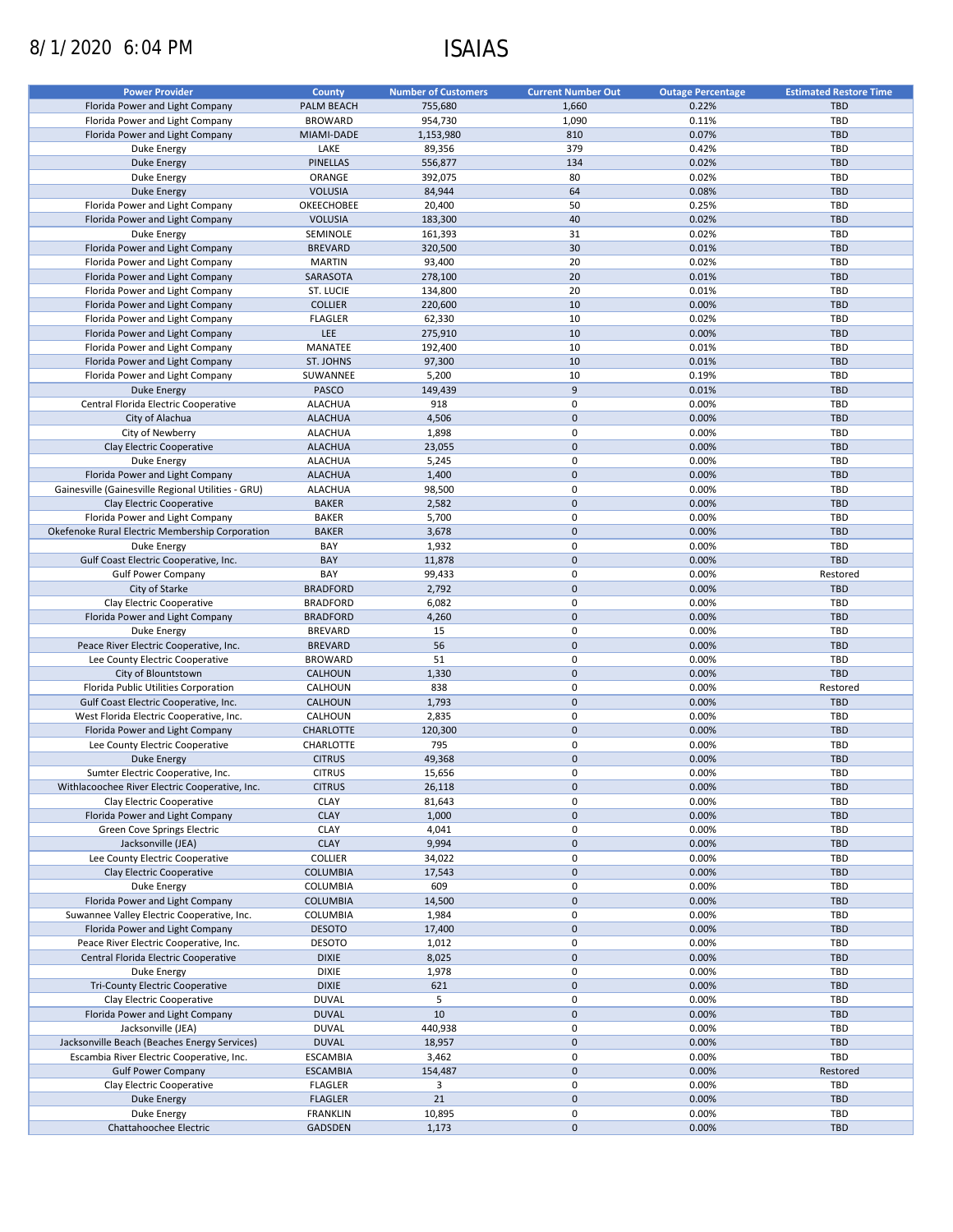# 8/1/2020 6:04 PM ISAIAS

| <b>Power Provider</b>                              | <b>County</b>    | <b>Number of Customers</b> | <b>Current Number Out</b> | <b>Outage Percentage</b> | <b>Estimated Restore Time</b> |
|----------------------------------------------------|------------------|----------------------------|---------------------------|--------------------------|-------------------------------|
| Florida Power and Light Company                    | PALM BEACH       | 755,680                    | 1,660                     | 0.22%                    | <b>TBD</b>                    |
|                                                    |                  |                            |                           | 0.11%                    | TBD                           |
| Florida Power and Light Company                    | <b>BROWARD</b>   | 954,730                    | 1,090                     |                          |                               |
| Florida Power and Light Company                    | MIAMI-DADE       | 1,153,980                  | 810                       | 0.07%                    | <b>TBD</b>                    |
| Duke Energy                                        | LAKE             | 89,356                     | 379                       | 0.42%                    | <b>TBD</b>                    |
| <b>Duke Energy</b>                                 | PINELLAS         | 556,877                    | 134                       | 0.02%                    | <b>TBD</b>                    |
| Duke Energy                                        | ORANGE           | 392,075                    | 80                        | 0.02%                    | <b>TBD</b>                    |
| <b>Duke Energy</b>                                 | <b>VOLUSIA</b>   | 84,944                     | 64                        | 0.08%                    | <b>TBD</b>                    |
| Florida Power and Light Company                    | OKEECHOBEE       | 20,400                     | 50                        | 0.25%                    | <b>TBD</b>                    |
| Florida Power and Light Company                    | <b>VOLUSIA</b>   | 183,300                    | 40                        | 0.02%                    | <b>TBD</b>                    |
| Duke Energy                                        | SEMINOLE         | 161,393                    | 31                        | 0.02%                    | <b>TBD</b>                    |
| Florida Power and Light Company                    | <b>BREVARD</b>   | 320,500                    | 30                        | 0.01%                    | <b>TBD</b>                    |
| Florida Power and Light Company                    | <b>MARTIN</b>    | 93,400                     | 20                        | 0.02%                    | <b>TBD</b>                    |
| Florida Power and Light Company                    | SARASOTA         | 278,100                    | 20                        | 0.01%                    | <b>TBD</b>                    |
| Florida Power and Light Company                    | ST. LUCIE        | 134,800                    | 20                        | 0.01%                    | <b>TBD</b>                    |
|                                                    | <b>COLLIER</b>   |                            | 10                        |                          | <b>TBD</b>                    |
| Florida Power and Light Company                    |                  | 220,600                    |                           | 0.00%                    |                               |
| Florida Power and Light Company                    | <b>FLAGLER</b>   | 62,330                     | 10                        | 0.02%                    | <b>TBD</b>                    |
| Florida Power and Light Company                    | <b>LEE</b>       | 275,910                    | 10                        | 0.00%                    | <b>TBD</b>                    |
| Florida Power and Light Company                    | MANATEE          | 192,400                    | 10                        | 0.01%                    | <b>TBD</b>                    |
| Florida Power and Light Company                    | ST. JOHNS        | 97,300                     | 10                        | 0.01%                    | <b>TBD</b>                    |
| Florida Power and Light Company                    | SUWANNEE         | 5,200                      | 10                        | 0.19%                    | <b>TBD</b>                    |
| <b>Duke Energy</b>                                 | PASCO            | 149,439                    | 9                         | 0.01%                    | <b>TBD</b>                    |
| Central Florida Electric Cooperative               | <b>ALACHUA</b>   | 918                        | $\mathbf 0$               | 0.00%                    | <b>TBD</b>                    |
| City of Alachua                                    | <b>ALACHUA</b>   | 4,506                      | $\mathbf 0$               | 0.00%                    | <b>TBD</b>                    |
| City of Newberry                                   | <b>ALACHUA</b>   | 1,898                      | 0                         | 0.00%                    | <b>TBD</b>                    |
| Clay Electric Cooperative                          | <b>ALACHUA</b>   | 23,055                     | $\mathbf 0$               | 0.00%                    | <b>TBD</b>                    |
|                                                    |                  |                            |                           |                          |                               |
| Duke Energy                                        | <b>ALACHUA</b>   | 5,245                      | 0                         | 0.00%                    | TBD                           |
| Florida Power and Light Company                    | <b>ALACHUA</b>   | 1,400                      | $\mathbf 0$               | 0.00%                    | <b>TBD</b>                    |
| Gainesville (Gainesville Regional Utilities - GRU) | <b>ALACHUA</b>   | 98,500                     | 0                         | 0.00%                    | TBD                           |
| Clay Electric Cooperative                          | <b>BAKER</b>     | 2,582                      | $\mathbf 0$               | 0.00%                    | <b>TBD</b>                    |
| Florida Power and Light Company                    | <b>BAKER</b>     | 5,700                      | $\pmb{0}$                 | 0.00%                    | <b>TBD</b>                    |
| Okefenoke Rural Electric Membership Corporation    | <b>BAKER</b>     | 3,678                      | $\mathbf 0$               | 0.00%                    | <b>TBD</b>                    |
| Duke Energy                                        | BAY              | 1,932                      | $\mathbf 0$               | 0.00%                    | TBD                           |
| Gulf Coast Electric Cooperative, Inc.              | BAY              | 11,878                     | $\mathbf 0$               | 0.00%                    | <b>TBD</b>                    |
| <b>Gulf Power Company</b>                          | BAY              | 99,433                     | 0                         | 0.00%                    | Restored                      |
| City of Starke                                     | <b>BRADFORD</b>  | 2,792                      | $\mathbf 0$               | 0.00%                    | <b>TBD</b>                    |
| Clay Electric Cooperative                          | <b>BRADFORD</b>  | 6,082                      | 0                         | 0.00%                    | TBD                           |
|                                                    | <b>BRADFORD</b>  | 4,260                      | $\mathbf 0$               | 0.00%                    | <b>TBD</b>                    |
| Florida Power and Light Company                    |                  |                            |                           |                          |                               |
| Duke Energy                                        | <b>BREVARD</b>   | 15                         | $\pmb{0}$                 | 0.00%                    | TBD                           |
| Peace River Electric Cooperative, Inc.             | <b>BREVARD</b>   | 56                         | $\mathbf 0$               | 0.00%                    | <b>TBD</b>                    |
| Lee County Electric Cooperative                    | <b>BROWARD</b>   | 51                         | $\mathbf 0$               | 0.00%                    | TBD                           |
| City of Blountstown                                | <b>CALHOUN</b>   | 1,330                      | $\mathbf 0$               | 0.00%                    | <b>TBD</b>                    |
| Florida Public Utilities Corporation               | CALHOUN          | 838                        | 0                         | 0.00%                    | Restored                      |
| Gulf Coast Electric Cooperative, Inc.              | <b>CALHOUN</b>   | 1,793                      | $\mathbf 0$               | 0.00%                    | <b>TBD</b>                    |
| West Florida Electric Cooperative, Inc.            | CALHOUN          | 2,835                      | 0                         | 0.00%                    | <b>TBD</b>                    |
| Florida Power and Light Company                    | <b>CHARLOTTE</b> | 120,300                    | $\mathbf 0$               | 0.00%                    | <b>TBD</b>                    |
| Lee County Electric Cooperative                    | CHARLOTTE        | 795                        | 0                         | 0.00%                    | TBD                           |
| Duke Energy                                        | <b>CITRUS</b>    | 49,368                     | $\mathbf 0$               | 0.00%                    | <b>TBD</b>                    |
| Sumter Electric Cooperative, Inc.                  | <b>CITRUS</b>    | 15,656                     | $\mathbf 0$               | 0.00%                    | TBD                           |
|                                                    |                  |                            | $\mathbf 0$               |                          | <b>TBD</b>                    |
| Withlacoochee River Electric Cooperative, Inc.     | <b>CITRUS</b>    | 26,118                     |                           | 0.00%                    |                               |
| Clay Electric Cooperative                          | <b>CLAY</b>      | 81,643                     | 0                         | 0.00%                    | TBD                           |
| Florida Power and Light Company                    | <b>CLAY</b>      | 1,000                      | $\mathbf 0$               | 0.00%                    | TBD                           |
| Green Cove Springs Electric                        | <b>CLAY</b>      | 4,041                      | 0                         | 0.00%                    | TBD                           |
| Jacksonville (JEA)                                 | <b>CLAY</b>      | 9,994                      | $\mathbf 0$               | 0.00%                    | <b>TBD</b>                    |
| Lee County Electric Cooperative                    | <b>COLLIER</b>   | 34,022                     | 0                         | 0.00%                    | TBD                           |
| Clay Electric Cooperative                          | <b>COLUMBIA</b>  | 17,543                     | $\mathbf 0$               | 0.00%                    | <b>TBD</b>                    |
| Duke Energy                                        | COLUMBIA         | 609                        | 0                         | 0.00%                    | TBD                           |
| Florida Power and Light Company                    | <b>COLUMBIA</b>  | 14,500                     | $\pmb{0}$                 | 0.00%                    | <b>TBD</b>                    |
| Suwannee Valley Electric Cooperative, Inc.         | COLUMBIA         | 1,984                      | 0                         | 0.00%                    | TBD                           |
| Florida Power and Light Company                    | <b>DESOTO</b>    | 17,400                     | $\mathbf 0$               | 0.00%                    | <b>TBD</b>                    |
| Peace River Electric Cooperative, Inc.             |                  |                            |                           |                          | TBD                           |
|                                                    | <b>DESOTO</b>    | 1,012                      | 0<br>$\mathbf 0$          | 0.00%                    |                               |
| Central Florida Electric Cooperative               | <b>DIXIE</b>     | 8,025                      |                           | 0.00%                    | <b>TBD</b>                    |
| Duke Energy                                        | <b>DIXIE</b>     | 1,978                      | $\pmb{0}$                 | 0.00%                    | <b>TBD</b>                    |
| Tri-County Electric Cooperative                    | <b>DIXIE</b>     | 621                        | $\pmb{0}$                 | 0.00%                    | TBD                           |
| Clay Electric Cooperative                          | <b>DUVAL</b>     | 5                          | $\pmb{0}$                 | 0.00%                    | <b>TBD</b>                    |
| Florida Power and Light Company                    | <b>DUVAL</b>     | 10                         | $\mathbf 0$               | 0.00%                    | TBD                           |
| Jacksonville (JEA)                                 | <b>DUVAL</b>     | 440,938                    | 0                         | 0.00%                    | <b>TBD</b>                    |
| Jacksonville Beach (Beaches Energy Services)       | <b>DUVAL</b>     | 18,957                     | $\mathbf 0$               | 0.00%                    | TBD                           |
| Escambia River Electric Cooperative, Inc.          | <b>ESCAMBIA</b>  | 3,462                      | 0                         | 0.00%                    | TBD                           |
| <b>Gulf Power Company</b>                          | <b>ESCAMBIA</b>  | 154,487                    | $\pmb{0}$                 | 0.00%                    | Restored                      |
| Clay Electric Cooperative                          | <b>FLAGLER</b>   | 3                          | 0                         | 0.00%                    | TBD                           |
|                                                    | <b>FLAGLER</b>   | 21                         | $\mathbf 0$               | 0.00%                    | <b>TBD</b>                    |
| <b>Duke Energy</b>                                 |                  |                            |                           |                          |                               |
| Duke Energy                                        | <b>FRANKLIN</b>  | 10,895                     | 0                         | 0.00%                    | TBD                           |
| Chattahoochee Electric                             | GADSDEN          | 1,173                      | $\mathbf 0$               | 0.00%                    | <b>TBD</b>                    |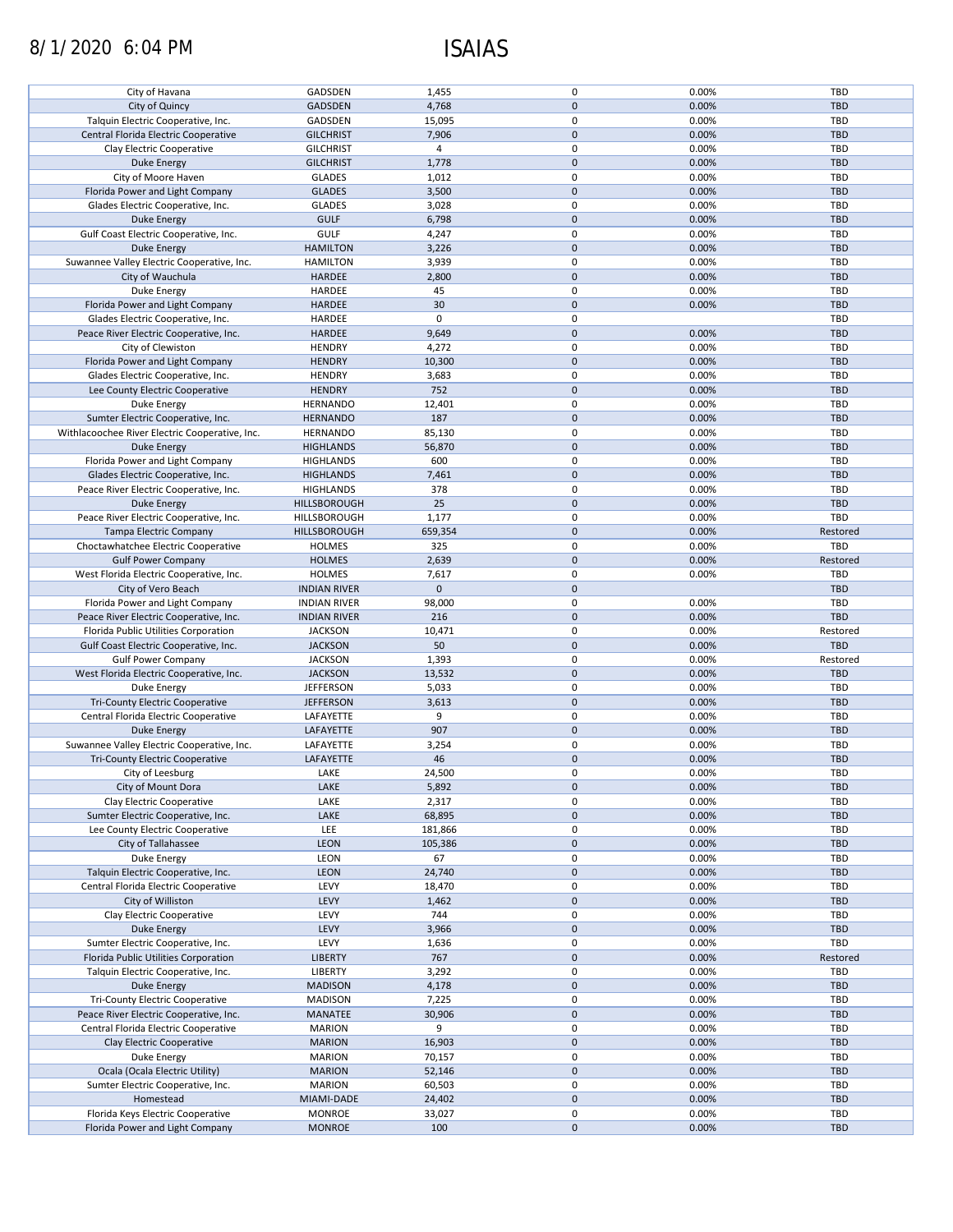# 8/1/2020 6:04 PM ISAIAS

| City of Havana                                 |                     |             |              |       |            |
|------------------------------------------------|---------------------|-------------|--------------|-------|------------|
|                                                | GADSDEN             | 1,455       | 0            | 0.00% | <b>TBD</b> |
| City of Quincy                                 | <b>GADSDEN</b>      | 4,768       | $\mathbf{0}$ | 0.00% | <b>TBD</b> |
|                                                |                     |             |              |       |            |
| Talquin Electric Cooperative, Inc.             | GADSDEN             | 15,095      | 0            | 0.00% | TBD        |
| Central Florida Electric Cooperative           | <b>GILCHRIST</b>    | 7,906       | $\mathbf 0$  | 0.00% | <b>TBD</b> |
|                                                |                     |             |              |       |            |
| Clay Electric Cooperative                      | <b>GILCHRIST</b>    | 4           | 0            | 0.00% | TBD        |
| <b>Duke Energy</b>                             | <b>GILCHRIST</b>    | 1,778       | $\mathbf 0$  | 0.00% | <b>TBD</b> |
| City of Moore Haven                            | <b>GLADES</b>       | 1,012       | 0            | 0.00% | TBD        |
|                                                |                     |             | $\mathbf 0$  |       |            |
| Florida Power and Light Company                | <b>GLADES</b>       | 3,500       |              | 0.00% | <b>TBD</b> |
| Glades Electric Cooperative, Inc.              | <b>GLADES</b>       | 3,028       | 0            | 0.00% | TBD        |
| <b>Duke Energy</b>                             | <b>GULF</b>         | 6,798       | $\mathbf 0$  | 0.00% | <b>TBD</b> |
|                                                |                     |             |              |       |            |
| Gulf Coast Electric Cooperative, Inc.          | GULF                | 4,247       | 0            | 0.00% | <b>TBD</b> |
| Duke Energy                                    | <b>HAMILTON</b>     | 3,226       | $\mathbf 0$  | 0.00% | <b>TBD</b> |
| Suwannee Valley Electric Cooperative, Inc.     | <b>HAMILTON</b>     | 3,939       | 0            | 0.00% | <b>TBD</b> |
|                                                |                     |             |              |       |            |
| City of Wauchula                               | HARDEE              | 2,800       | $\mathbf 0$  | 0.00% | <b>TBD</b> |
| Duke Energy                                    | HARDEE              | 45          | 0            | 0.00% | TBD        |
| Florida Power and Light Company                | <b>HARDEE</b>       | 30          | $\mathbf 0$  | 0.00% | <b>TBD</b> |
|                                                |                     |             |              |       |            |
| Glades Electric Cooperative, Inc.              | HARDEE              | $\mathbf 0$ | 0            |       | TBD        |
| Peace River Electric Cooperative, Inc.         | HARDEE              | 9,649       | $\mathbf 0$  | 0.00% | <b>TBD</b> |
| City of Clewiston                              | <b>HENDRY</b>       | 4,272       | 0            | 0.00% | TBD        |
|                                                |                     |             |              |       |            |
| Florida Power and Light Company                | <b>HENDRY</b>       | 10,300      | $\mathbf 0$  | 0.00% | <b>TBD</b> |
| Glades Electric Cooperative, Inc.              | <b>HENDRY</b>       | 3,683       | 0            | 0.00% | <b>TBD</b> |
| Lee County Electric Cooperative                | <b>HENDRY</b>       |             | $\mathbf 0$  | 0.00% |            |
|                                                |                     | 752         |              |       | <b>TBD</b> |
| Duke Energy                                    | <b>HERNANDO</b>     | 12,401      | 0            | 0.00% | <b>TBD</b> |
| Sumter Electric Cooperative, Inc.              | <b>HERNANDO</b>     | 187         | $\mathbf 0$  | 0.00% | <b>TBD</b> |
|                                                |                     |             |              |       |            |
| Withlacoochee River Electric Cooperative, Inc. | <b>HERNANDO</b>     | 85,130      | 0            | 0.00% | TBD        |
| <b>Duke Energy</b>                             | <b>HIGHLANDS</b>    | 56,870      | $\mathbf 0$  | 0.00% | <b>TBD</b> |
| Florida Power and Light Company                | <b>HIGHLANDS</b>    | 600         | 0            | 0.00% | TBD        |
|                                                |                     |             |              |       |            |
| Glades Electric Cooperative, Inc.              | <b>HIGHLANDS</b>    | 7,461       | $\mathbf 0$  | 0.00% | <b>TBD</b> |
| Peace River Electric Cooperative, Inc.         | <b>HIGHLANDS</b>    | 378         | 0            | 0.00% | TBD        |
| Duke Energy                                    |                     | 25          | $\mathbf 0$  | 0.00% | <b>TBD</b> |
|                                                | HILLSBOROUGH        |             |              |       |            |
| Peace River Electric Cooperative, Inc.         | HILLSBOROUGH        | 1,177       | $\pmb{0}$    | 0.00% | TBD        |
| Tampa Electric Company                         | HILLSBOROUGH        | 659,354     | $\mathbf 0$  | 0.00% | Restored   |
|                                                |                     |             |              |       |            |
| Choctawhatchee Electric Cooperative            | <b>HOLMES</b>       | 325         | 0            | 0.00% | TBD        |
| <b>Gulf Power Company</b>                      | <b>HOLMES</b>       | 2,639       | $\mathbf 0$  | 0.00% | Restored   |
| West Florida Electric Cooperative, Inc.        | <b>HOLMES</b>       | 7,617       | 0            | 0.00% | TBD        |
|                                                |                     |             |              |       |            |
| City of Vero Beach                             | <b>INDIAN RIVER</b> | $\mathbf 0$ | $\mathbf 0$  |       | <b>TBD</b> |
| Florida Power and Light Company                | <b>INDIAN RIVER</b> | 98,000      | 0            | 0.00% | TBD        |
| Peace River Electric Cooperative, Inc.         | <b>INDIAN RIVER</b> | 216         | $\mathbf 0$  | 0.00% | <b>TBD</b> |
|                                                |                     |             |              |       |            |
| Florida Public Utilities Corporation           | <b>JACKSON</b>      | 10,471      | 0            | 0.00% | Restored   |
| Gulf Coast Electric Cooperative, Inc.          | <b>JACKSON</b>      | 50          | $\mathbf 0$  | 0.00% | <b>TBD</b> |
| <b>Gulf Power Company</b>                      | <b>JACKSON</b>      | 1,393       | 0            | 0.00% | Restored   |
|                                                |                     |             |              |       |            |
|                                                |                     |             |              |       |            |
| West Florida Electric Cooperative, Inc.        | <b>JACKSON</b>      | 13,532      | $\mathbf 0$  | 0.00% | <b>TBD</b> |
| Duke Energy                                    | <b>JEFFERSON</b>    | 5,033       | 0            | 0.00% | <b>TBD</b> |
|                                                |                     |             |              |       |            |
| Tri-County Electric Cooperative                | <b>JEFFERSON</b>    | 3,613       | $\mathbf 0$  | 0.00% | <b>TBD</b> |
| Central Florida Electric Cooperative           | LAFAYETTE           | 9           | 0            | 0.00% | <b>TBD</b> |
|                                                |                     |             |              |       |            |
| <b>Duke Energy</b>                             | LAFAYETTE           | 907         | $\mathbf 0$  | 0.00% | <b>TBD</b> |
| Suwannee Valley Electric Cooperative, Inc.     | LAFAYETTE           | 3,254       | 0            | 0.00% | <b>TBD</b> |
| <b>Tri-County Electric Cooperative</b>         | LAFAYETTE           | 46          | $\mathbf 0$  | 0.00% | <b>TBD</b> |
|                                                |                     |             |              |       |            |
| City of Leesburg                               | LAKE                | 24,500      | $\mathbf 0$  | 0.00% | <b>TBD</b> |
| City of Mount Dora                             | LAKE                | 5,892       | $\pmb{0}$    | 0.00% | <b>TBD</b> |
| Clay Electric Cooperative                      | LAKE                | 2,317       | 0            | 0.00% | TBD        |
|                                                |                     |             |              |       |            |
| Sumter Electric Cooperative, Inc.              | LAKE                | 68,895      | $\mathbf 0$  | 0.00% | <b>TBD</b> |
| Lee County Electric Cooperative                | LEE                 | 181,866     | 0            | 0.00% | TBD        |
| City of Tallahassee                            | <b>LEON</b>         | 105,386     | $\mathbf 0$  | 0.00% | <b>TBD</b> |
|                                                |                     |             |              |       |            |
| Duke Energy                                    | LEON                | 67          | 0            | 0.00% | TBD        |
| Talquin Electric Cooperative, Inc.             | LEON                | 24,740      | $\pmb{0}$    | 0.00% | <b>TBD</b> |
| Central Florida Electric Cooperative           | LEVY                | 18,470      | 0            | 0.00% | TBD        |
|                                                |                     |             |              |       |            |
| City of Williston                              | LEVY                | 1,462       | $\mathbf 0$  | 0.00% | <b>TBD</b> |
| Clay Electric Cooperative                      | LEVY                | 744         | 0            | 0.00% | TBD        |
| <b>Duke Energy</b>                             | LEVY                | 3,966       | $\mathbf 0$  | 0.00% | <b>TBD</b> |
|                                                |                     |             |              |       |            |
| Sumter Electric Cooperative, Inc.              | LEVY                | 1,636       | 0            | 0.00% | <b>TBD</b> |
| Florida Public Utilities Corporation           | <b>LIBERTY</b>      | 767         | $\pmb{0}$    | 0.00% | Restored   |
| Talquin Electric Cooperative, Inc.             | LIBERTY             | 3,292       | 0            | 0.00% | <b>TBD</b> |
|                                                |                     |             |              |       |            |
| <b>Duke Energy</b>                             | <b>MADISON</b>      | 4,178       | $\mathbf 0$  | 0.00% | <b>TBD</b> |
| Tri-County Electric Cooperative                | <b>MADISON</b>      | 7,225       | 0            | 0.00% | TBD        |
|                                                |                     |             |              |       |            |
| Peace River Electric Cooperative, Inc.         | MANATEE             | 30,906      | $\mathbf 0$  | 0.00% | <b>TBD</b> |
| Central Florida Electric Cooperative           | <b>MARION</b>       | 9           | 0            | 0.00% | TBD        |
| Clay Electric Cooperative                      | <b>MARION</b>       | 16,903      | $\mathbf 0$  | 0.00% | <b>TBD</b> |
|                                                |                     |             |              |       |            |
| Duke Energy                                    | <b>MARION</b>       | 70,157      | 0            | 0.00% | TBD        |
| Ocala (Ocala Electric Utility)                 | <b>MARION</b>       | 52,146      | $\mathbf 0$  | 0.00% | <b>TBD</b> |
| Sumter Electric Cooperative, Inc.              | <b>MARION</b>       | 60,503      | 0            | 0.00% | TBD        |
|                                                |                     |             |              |       |            |
| Homestead                                      | MIAMI-DADE          | 24,402      | $\pmb{0}$    | 0.00% | <b>TBD</b> |
| Florida Keys Electric Cooperative              | <b>MONROE</b>       | 33,027      | $\pmb{0}$    | 0.00% | TBD        |
| Florida Power and Light Company                | <b>MONROE</b>       | 100         | $\pmb{0}$    | 0.00% | <b>TBD</b> |